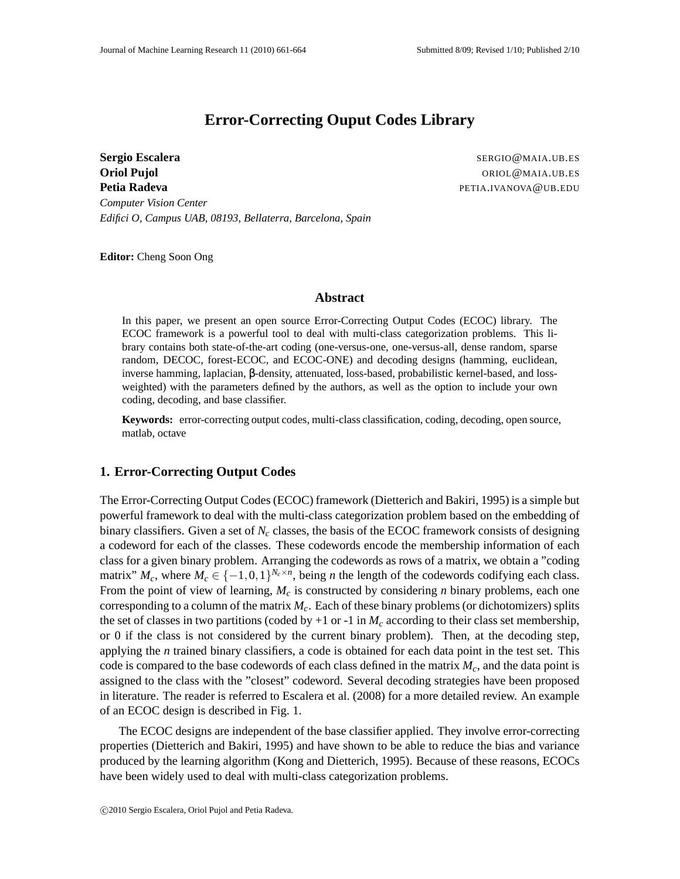# **Error-Correcting Ouput Codes Library**

**Sergio Escalera** SERGIO@MAIA.UB.ES **Oriol Pujol** ORIOL@MAIA.UB.ES **Petia Radeva** Petia Radeva Petia Radeva Petia Radeva Petia Radeva Petia Radeva Petia Radeva Petia Radeva Petia *Computer Vision Center Edifici O, Campus UAB, 08193, Bellaterra, Barcelona, Spain*

**Editor:** Cheng Soon Ong

#### **Abstract**

In this paper, we present an open source Error-Correcting Output Codes (ECOC) library. The ECOC framework is a powerful tool to deal with multi-class categorization problems. This library contains both state-of-the-art coding (one-versus-one, one-versus-all, dense random, sparse random, DECOC, forest-ECOC, and ECOC-ONE) and decoding designs (hamming, euclidean, inverse hamming, laplacian, β-density, attenuated, loss-based, probabilistic kernel-based, and lossweighted) with the parameters defined by the authors, as well as the option to include your own coding, decoding, and base classifier.

**Keywords:** error-correcting output codes, multi-class classification, coding, decoding, open source, matlab, octave

## **1. Error-Correcting Output Codes**

The Error-Correcting Output Codes (ECOC) framework (Dietterich and Bakiri, 1995) is a simple but powerful framework to deal with the multi-class categorization problem based on the embedding of binary classifiers. Given a set of  $N_c$  classes, the basis of the ECOC framework consists of designing a codeword for each of the classes. These codewords encode the membership information of each class for a given binary problem. Arranging the codewords as rows of a matrix, we obtain a "coding matrix"  $M_c$ , where  $M_c \in \{-1,0,1\}^{N_c \times n}$ , being *n* the length of the codewords codifying each class. From the point of view of learning, *M<sup>c</sup>* is constructed by considering *n* binary problems, each one corresponding to a column of the matrix  $M_c$ . Each of these binary problems (or dichotomizers) splits the set of classes in two partitions (coded by  $+1$  or  $-1$  in  $M_c$  according to their class set membership, or 0 if the class is not considered by the current binary problem). Then, at the decoding step, applying the *n* trained binary classifiers, a code is obtained for each data point in the test set. This code is compared to the base codewords of each class defined in the matrix  $M_c$ , and the data point is assigned to the class with the "closest" codeword. Several decoding strategies have been proposed in literature. The reader is referred to Escalera et al. (2008) for a more detailed review. An example of an ECOC design is described in Fig. 1.

The ECOC designs are independent of the base classifier applied. They involve error-correcting properties (Dietterich and Bakiri, 1995) and have shown to be able to reduce the bias and variance produced by the learning algorithm (Kong and Dietterich, 1995). Because of these reasons, ECOCs have been widely used to deal with multi-class categorization problems.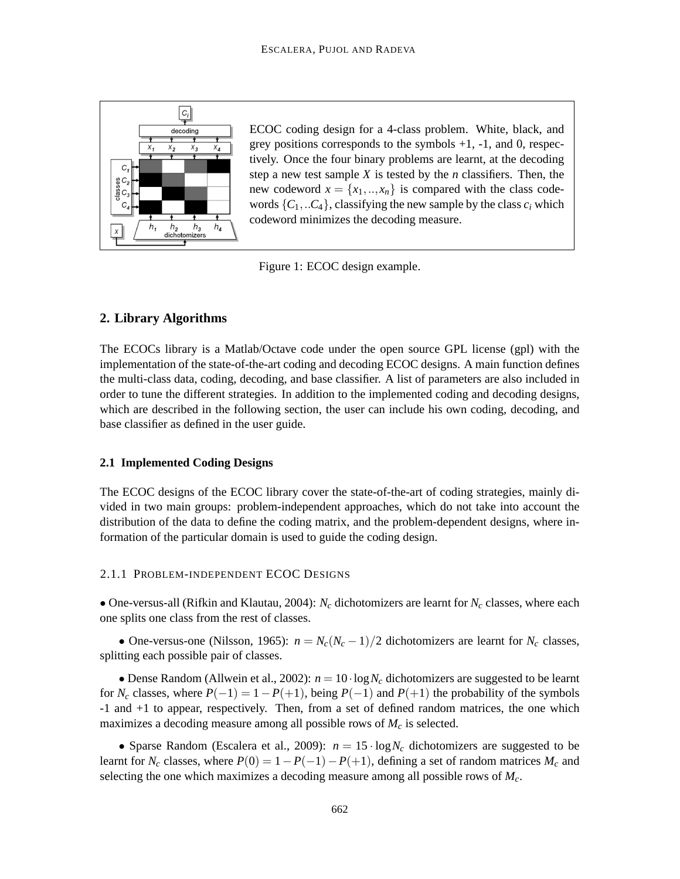

ECOC coding design for a 4-class problem. White, black, and grey positions corresponds to the symbols  $+1$ ,  $-1$ , and 0, respectively. Once the four binary problems are learnt, at the decoding step a new test sample *X* is tested by the *n* classifiers. Then, the new codeword  $x = \{x_1, \ldots, x_n\}$  is compared with the class codewords  $\{C_1, \ldots, C_4\}$ , classifying the new sample by the class  $c_i$  which codeword minimizes the decoding measure.

Figure 1: ECOC design example.

# **2. Library Algorithms**

The ECOCs library is a Matlab/Octave code under the open source GPL license (gpl) with the implementation of the state-of-the-art coding and decoding ECOC designs. A main function defines the multi-class data, coding, decoding, and base classifier. A list of parameters are also included in order to tune the different strategies. In addition to the implemented coding and decoding designs, which are described in the following section, the user can include his own coding, decoding, and base classifier as defined in the user guide.

#### **2.1 Implemented Coding Designs**

The ECOC designs of the ECOC library cover the state-of-the-art of coding strategies, mainly divided in two main groups: problem-independent approaches, which do not take into account the distribution of the data to define the coding matrix, and the problem-dependent designs, where information of the particular domain is used to guide the coding design.

#### 2.1.1 PROBLEM-INDEPENDENT ECOC DESIGNS

• One-versus-all (Rifkin and Klautau, 2004): *N<sup>c</sup>* dichotomizers are learnt for *N<sup>c</sup>* classes, where each one splits one class from the rest of classes.

• One-versus-one (Nilsson, 1965):  $n = N_c(N_c - 1)/2$  dichotomizers are learnt for  $N_c$  classes, splitting each possible pair of classes.

• Dense Random (Allwein et al., 2002):  $n = 10 \cdot \log N_c$  dichotomizers are suggested to be learnt for  $N_c$  classes, where  $P(-1) = 1 - P(+1)$ , being  $P(-1)$  and  $P(+1)$  the probability of the symbols -1 and +1 to appear, respectively. Then, from a set of defined random matrices, the one which maximizes a decoding measure among all possible rows of *M<sup>c</sup>* is selected.

• Sparse Random (Escalera et al., 2009):  $n = 15 \cdot \log N_c$  dichotomizers are suggested to be learnt for  $N_c$  classes, where  $P(0) = 1 - P(-1) - P(+1)$ , defining a set of random matrices  $M_c$  and selecting the one which maximizes a decoding measure among all possible rows of *Mc*.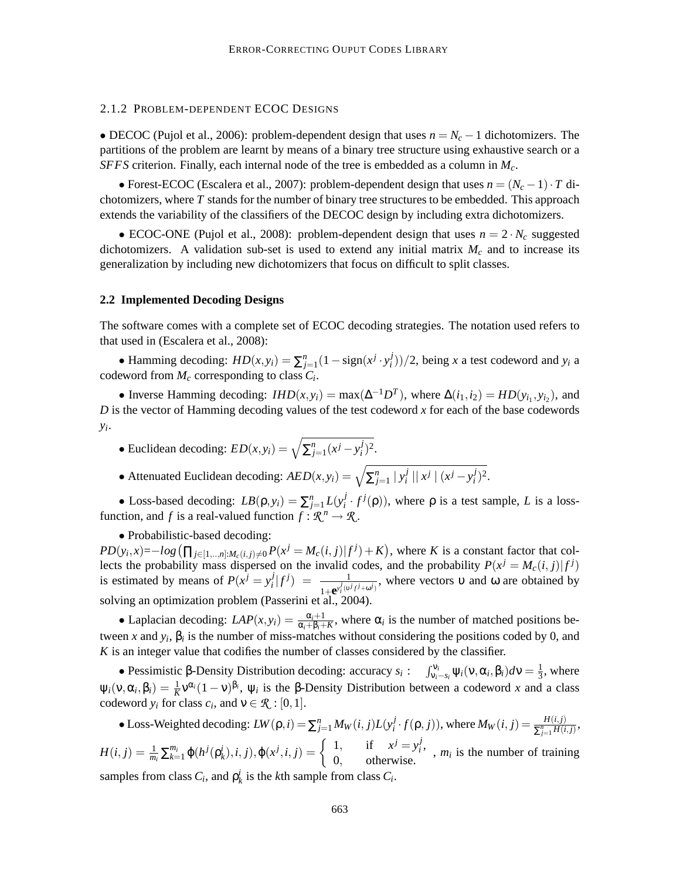#### 2.1.2 PROBLEM-DEPENDENT ECOC DESIGNS

• DECOC (Pujol et al., 2006): problem-dependent design that uses  $n = N_c - 1$  dichotomizers. The partitions of the problem are learnt by means of a binary tree structure using exhaustive search or a *SFFS* criterion. Finally, each internal node of the tree is embedded as a column in *Mc*.

• Forest-ECOC (Escalera et al., 2007): problem-dependent design that uses  $n = (N_c - 1) \cdot T$  dichotomizers, where *T* stands for the number of binary tree structures to be embedded. This approach extends the variability of the classifiers of the DECOC design by including extra dichotomizers.

• ECOC-ONE (Pujol et al., 2008): problem-dependent design that uses  $n = 2 \cdot N_c$  suggested dichotomizers. A validation sub-set is used to extend any initial matrix  $M_c$  and to increase its generalization by including new dichotomizers that focus on difficult to split classes.

#### **2.2 Implemented Decoding Designs**

The software comes with a complete set of ECOC decoding strategies. The notation used refers to that used in (Escalera et al., 2008):

• Hamming decoding:  $HD(x, y_i) = \sum_{j=1}^{n} (1 - \text{sign}(x^j \cdot y_i^j)))$  $(y_i^j)/(2)$ , being *x* a test codeword and *y<sub>i</sub>* a codeword from  $M_c$  corresponding to class  $C_i$ .

• Inverse Hamming decoding:  $IHD(x, y_i) = \max(\Delta^{-1}D^T)$ , where  $\Delta(i_1, i_2) = HD(y_{i_1}, y_{i_2})$ , and *D* is the vector of Hamming decoding values of the test codeword *x* for each of the base codewords *yi* .

- Euclidean decoding:  $ED(x, y_i) = \sqrt{\sum_{j=1}^{n} (x^j y_i^j)}$  $j^{(i)}$ <sub>*i*</sub>)<sup>2</sup>.
- Attenuated Euclidean decoding:  $AED(x, y_i) = \sqrt{\sum_{j=1}^{n} |y_i^j|}$  $\int_{i}^{j}$  ||  $x^{j}$  |  $(x^{j} - y_{i}^{j})$  $j^{(i)}$ <sub>*i*</sub>)<sup>2</sup>.

• Loss-based decoding:  $LB(\rho, y_i) = \sum_{j=1}^n L(y_i^j)$  $\int_i^j f^j(\rho)$ , where  $\rho$  is a test sample, *L* is a lossfunction, and *f* is a real-valued function  $f: \mathcal{R}^n \to \mathcal{R}$ .

• Probabilistic-based decoding:

 $PD(y_i, x) = -log(\prod_{j \in [1, ..., n]: M_c(i, j) \neq 0} P(x^j = M_c(i, j) | f^j) + K)$ , where K is a constant factor that collects the probability mass dispersed on the invalid codes, and the probability  $P(x^j = M_c(i, j) | f^j)$ is estimated by means of  $P(x^j = y^j)$  $\frac{j}{i}|f^j\rangle = \frac{1}{1+e^{v^j/2}}$  $\frac{1}{1+\mathbf{e}^{y_i^j(\mathbf{v}^j/\mathbf{f}^j+\omega^j)}}$ , where vectors v and  $\omega$  are obtained by solving an optimization problem (Passerini et al., 2004).

• Laplacian decoding:  $LAP(x, y_i) = \frac{\alpha_i+1}{\alpha_i+\beta_i+k}$ , where  $\alpha_i$  is the number of matched positions between *x* and  $y_i$ ,  $\beta_i$  is the number of miss-matches without considering the positions coded by 0, and *K* is an integer value that codifies the number of classes considered by the classifier.

• Pessimistic β-Density Distribution decoding: accuracy  $s_i$ :  $\int_{v_i-s_i}^{v_i} \psi_i(v, \alpha_i, \beta_i) dv = \frac{1}{3}$  $\frac{1}{3}$ , where  $\psi_i(\nu, \alpha_i, \beta_i) = \frac{1}{K} \nu^{\alpha_i} (1 - \nu)^{\beta_i}$ ,  $\psi_i$  is the β-Density Distribution between a codeword *x* and a class codeword  $y_i$  for class  $c_i$ , and  $v \in \mathcal{R} : [0,1]$ .

• Loss-Weighted decoding:  $LW(\rho, i) = \sum_{j=1}^{n} M_W(i, j) L(y_i^j)$  $\frac{f}{i} \cdot f(p, j)$ , where  $M_W(i, j) = \frac{H(i, j)}{\sum_{j=1}^n H(i, j)}$ ,  $H(i, j) = \frac{1}{m_i} \sum_{k=1}^{m_i} \varphi(h^j(\rho^i_k), i, j), \varphi(x^j, i, j) = \begin{cases} 1, & \text{if } x^j = y^j_i \\ 0 & \text{otherwise} \end{cases}$ 1, if  $x^j = y_i^j$ ,  $m_i$  is the number of training 0, otherwise. samples from class  $C_i$ , and  $\rho_k^i$  is the *k*th sample from class  $C_i$ .